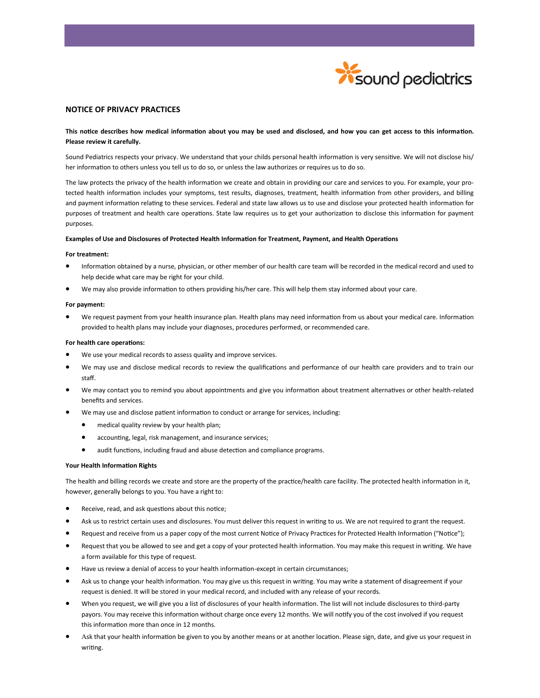

# **NOTICE OF PRIVACY PRACTICES**

# **This notice describes how medical information about you may be used and disclosed, and how you can get access to this information. Please review it carefully.**

Sound Pediatrics respects your privacy. We understand that your childs personal health information is very sensitive. We will not disclose his/ her information to others unless you tell us to do so, or unless the law authorizes or requires us to do so.

The law protects the privacy of the health information we create and obtain in providing our care and services to you. For example, your protected health information includes your symptoms, test results, diagnoses, treatment, health information from other providers, and billing and payment information relating to these services. Federal and state law allows us to use and disclose your protected health information for purposes of treatment and health care operations. State law requires us to get your authorization to disclose this information for payment purposes.

### **Examples of Use and Disclosures of Protected Health Information for Treatment, Payment, and Health Operations**

#### **For treatment:**

- Information obtained by a nurse, physician, or other member of our health care team will be recorded in the medical record and used to help decide what care may be right for your child.
- We may also provide information to others providing his/her care. This will help them stay informed about your care.

## **For payment:**

 We request payment from your health insurance plan. Health plans may need information from us about your medical care. Information provided to health plans may include your diagnoses, procedures performed, or recommended care.

## **For health care operations:**

- We use your medical records to assess quality and improve services.
- We may use and disclose medical records to review the qualifications and performance of our health care providers and to train our staff.
- We may contact you to remind you about appointments and give you information about treatment alternatives or other health-related benefits and services.
- We may use and disclose patient information to conduct or arrange for services, including:
	- medical quality review by your health plan;
	- accounting, legal, risk management, and insurance services;
	- audit functions, including fraud and abuse detection and compliance programs.

## **Your Health Information Rights**

The health and billing records we create and store are the property of the practice/health care facility. The protected health information in it, however, generally belongs to you. You have a right to:

- Receive, read, and ask questions about this notice;
- Ask us to restrict certain uses and disclosures. You must deliver this request in writing to us. We are not required to grant the request.
- Request and receive from us a paper copy of the most current Notice of Privacy Practices for Protected Health Information ("Notice");
- Request that you be allowed to see and get a copy of your protected health information. You may make this request in writing. We have a form available for this type of request.
- Have us review a denial of access to your health information-except in certain circumstances;
- Ask us to change your health information. You may give us this request in writing. You may write a statement of disagreement if your request is denied. It will be stored in your medical record, and included with any release of your records.
- When you request, we will give you a list of disclosures of your health information. The list will not include disclosures to third-party payors. You may receive this information without charge once every 12 months. We will notify you of the cost involved if you request this information more than once in 12 months.
- Ask that your health information be given to you by another means or at another location. Please sign, date, and give us your request in writing.